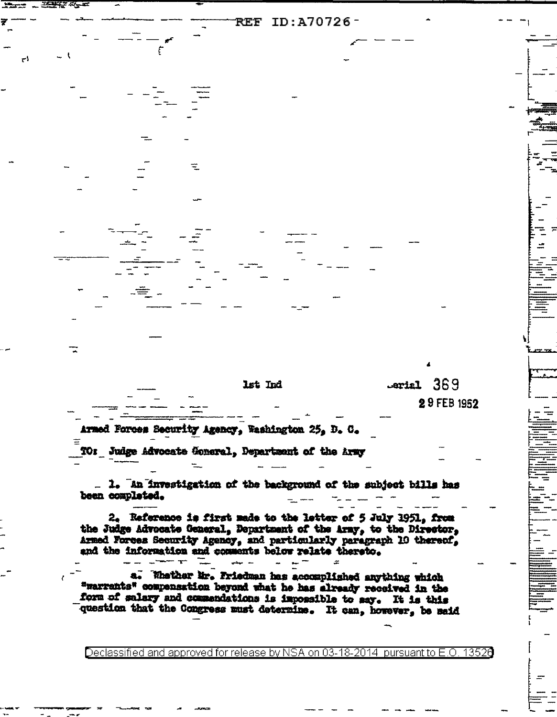| $\overline{\tau}$ |         |             |
|-------------------|---------|-------------|
|                   |         |             |
|                   |         |             |
|                   |         |             |
|                   |         |             |
|                   |         |             |
|                   |         |             |
|                   |         |             |
|                   |         |             |
|                   |         |             |
| یان               |         |             |
|                   |         |             |
|                   |         |             |
|                   |         |             |
|                   |         |             |
|                   |         |             |
|                   |         |             |
| - - 1<br>J.       |         |             |
|                   |         |             |
|                   |         |             |
|                   |         |             |
|                   |         |             |
|                   |         |             |
|                   |         |             |
|                   |         |             |
|                   |         |             |
|                   |         | 4           |
|                   |         |             |
|                   |         |             |
|                   | lst Ind | Lerial 369  |
|                   |         |             |
|                   |         | 29 FEB 1952 |
|                   |         |             |

**REF ID:A70726-**

Armed Forces Security Agency, Washington 25, D. C. ≡ TO: Judge Advocate Goneral, Department of the Army

 $T$ 

ا ہے۔

. 1. An investigation of the background of the subject bills has been completed.

2. Reference is first made to the letter of 5 July 1951, from the Judge Advocate General, Department of the Army, to the Director, Armed Forces Security Agency, and particularly paragraph 10 thereof, and the information and comments below relate thereto.

 $\sim$ 

a. Whether Mr. Friedman has accomplished anything which "warrants" compensation beyond what he has already received in the form of salary and commendations is impossible to say. It is this question that the Congress must determine. It can, however, be said

التدر البيضيا

Declassified and approved for release by NSA on 03-18-2014  $\,$  pursuant to E.O. 13526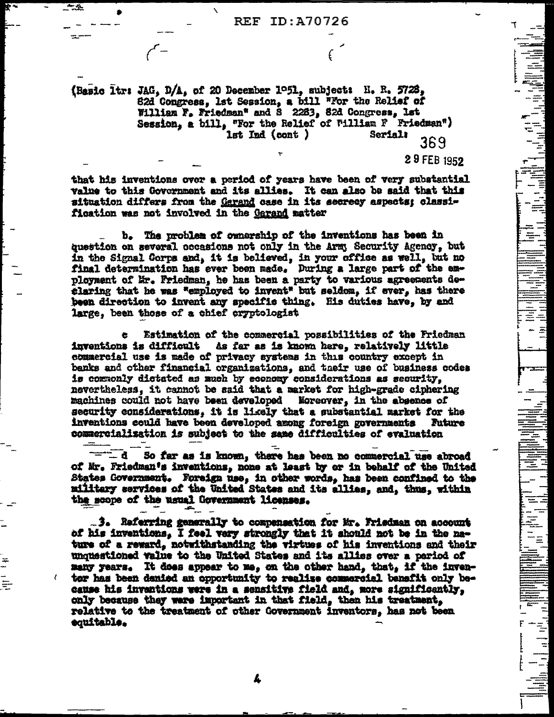**REF ID: A70726** 

(Basic ltr: JAG, D/A, of 20 December 1951, subject: H. R. 5728, 82d Congress, 1st Session, a bill "For the Relief of William F. Friedman" and S 2263, 82d Congress, Ist Session, a bill, "For the Relief of William F Friedman")<br>1st Ind (cont) Serial:  $200$ 369

29 FEB 1952

that his inventions over a period of years have been of very substantial value to this Government and its allies. It can also be said that this situation differs from the Garand case in its secrecy aspects; classification was not involved in the Garand matter

b. The problem of ownership of the inventions has been in question on several occasions not only in the Army Security Agency. but in the Signal Corps and, it is believed, in your office as well, but no final determination has ever been made. During a large part of the employment of Mr. Friedman, he has been a party to various agreements declaring that he was "employed to invent" but seldom, if ever, has there been direction to invent any specific thing. His duties have, by and large, been those of a chief cryptologist

Estimation of the commercial possibilities of the Friedman As far as is known here, relatively little inventions is difficult commercial use is made of privacy systems in this country except in banks and other financial organizations, and their use of business codes is commonly dictated as much by economy considerations as security, nevertheless, it cannot be said that a market for high-grade ciphering machines could not have been developed Koreover, in the absence of security considerations, it is likely that a substantial market for the inventions could have been developed among foreign governments Future commercialization is subject to the same difficulties of evaluation

 $\mathbf{b}$   $\mathbf{r}$   $\mathbf{r}$ So far as is known, there has been no commercial use abroad of Mr. Friedman's inventions, none at least by or in behalf of the United States Government. Foreign use, in other words, has been confined to the military services of the United States and its allias, and, thus, within the scope of the usual Government licenses.

3. Referring generally to compensation for Mr. Friedman on account of his inventions, I feel very strongly that it should not be in the nature of a reward, notwithstanding the wirtues of his inventions and their unquestioned value to the United States and its allies over a pariod of many years. It does appear to me, on the other hand, that, if the inventor has been denied an opportunity to realize commercial benefit only because his inventions were in a sensitive field and, more significently, only because they were important in that field, then his treatment, relative to the treatment of other Government inventors, has not been equitable.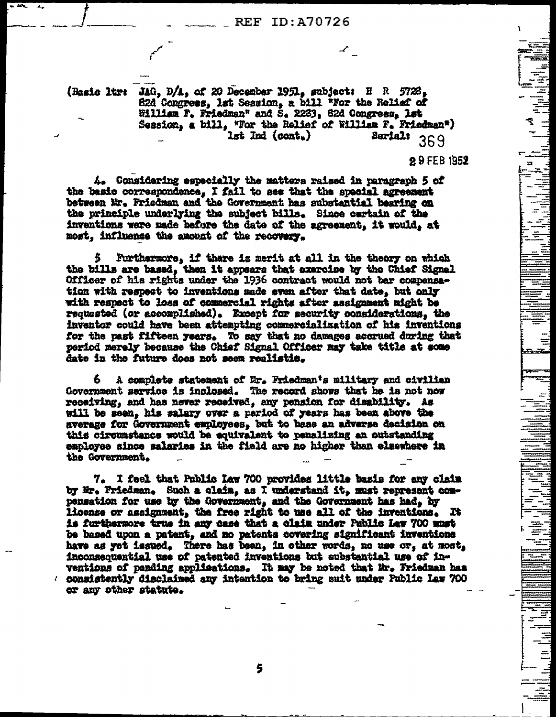$24n$  $\overline{\phantom{a}}$ 

> (Basic ltr: JAG, D/A, of 20 December 1951, subject: H R 5728, 82d Congress, lat Session, a bill "For the Relief of William F. Friedman" and S. 2283, 82d Congress, lst Session, a bill, "For the Relief of William F. Friedman") Serial: 369 lst Ind (cont.)

> > 29 FEB 1952

a

4. Considering especially the matters raised in paragraph 5 of the basic correspondence, I fail to see that the special agreement between Mr. Friedman and the Government has substantial bearing on the principle underlying the subject bills. Since certain of the inventions were made before the date of the agreement, it would, at most, influence the amount of the recovery.

Furthermore, if there is merit at all in the theory on which the bills are based, then it appears that exercise by the Chief Signal Officer of his rights under the 1936 contract would not bar compensation with respect to inventions made even after that date, but only with respect to loss of commercial rights after assignment might be requested (or accomplished). Except for security considerations, the inventor could have been attempting commercialization of his inventions for the past fifteen years. To say that no damages accrued during that period merely because the Chief Signal Officer may take title at some date in the future does not seen realistic.

A complete statement of Mr. Friedman's military and civilian Government service is inclosed. The record shows that he is not now receiving, and has never received, any pension for disability. As will be seen, his salary over a period of years has been above the average for Government employees, but to base an adverse decision on this circumstance would be equivalent to penalizing an outstanding employee since salaries in the field are no higher than elsewhere in the Government.

7. I feel that Public Law 700 provides little basis for any claim by Hr. Friedman. Such a claim, as I understand it, must represent compensation for use by the Government, and the Government has had, by license or assignment, the free right to use all of the inventions. It is furthermore true in any case that a claim under Public Law 700 must be based upon a patent, and no patents covering significant inventions have as yet issued. There has been, in other words, no use or, at most, inconsequential use of patented inventions but substantial use of inventions of pending applications. It may be noted that Mr. Friedman has ( consistently disclaimed any intention to bring suit under Public Law 700 or any other statute.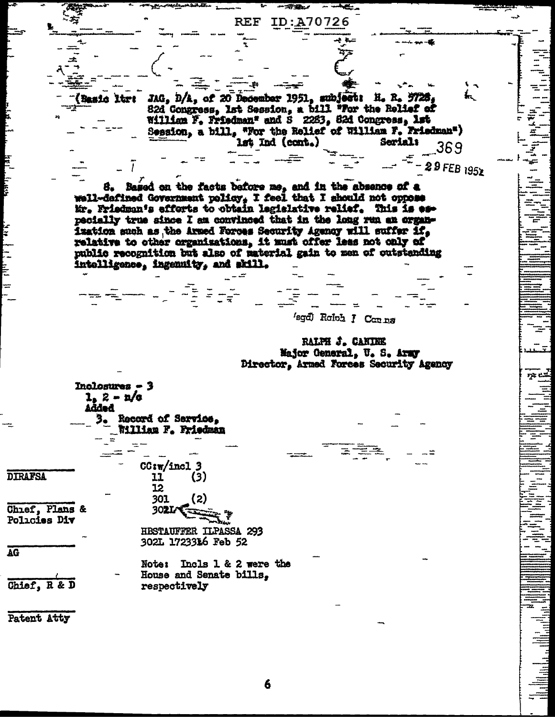JAG, D/A, of 20 December 1951, subject: H. R. 5728, Basic ltre 82d Congress, 1st Session, a bill "For the Relief of William F, Friedman" and S 2283, 82d Congress, 1st Session, a bill, "For the Relief of William F, Friedman") lst Ind (cont.) Seriali 369 29 FEB 1952 Based on the facts before me, and in the absence of a 8. well-defined Government policy, I feel that I should not oppose Mr. Friedman's efforts to obtain legislative relief. This is especially true since I am convinced that in the long run an organization such as the Armed Forces Security Agency will suffer if. relative to other organizations, it must offer less not only of public recognition but also of material gain to men of outstanding intolligence, ingenuity, and skill. 'sgd) Roloh J Conna RALPH J. CANINE Major General, U. S. Army Director, Armed Forces Security Agency Inclosures - 3  $1, 2 - n/a$ Added Record of Service, William F. Friedman  $CG<sub>sw</sub>/incl 3$ **DIRAFSA** 11  $(3)$ 12 301  $(2)$ Chief, Plans & 302L Policies Div **HBSTAUFFER ILPASSA 293** 302L 1723316 Feb 52 Note: Incls 1 & 2 were the House and Senate bills, Chief, R & D respectively Patent Atty

7x e.L

希望し

REF

ID:A70726

مبالكه أقطاعها والموا

E<br>E

**AG** 

6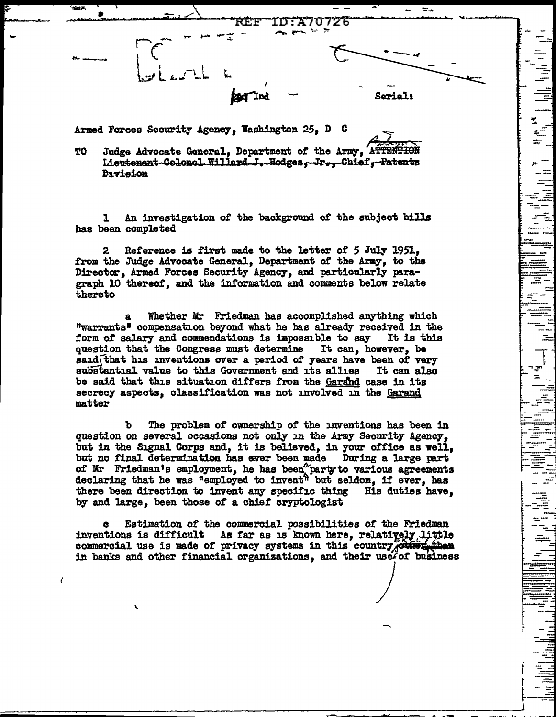

 $\begin{array}{c} \begin{array}{c} \begin{array}{c} \text{ii} \\ \text{iii} \end{array} \end{array} \end{array}$ 

Armed Forces Security Agency, Washington 25, D C

Judge Advocate General, Department of the Army, ATTENTION TO Lieutenant-Colonel Willard-J.-Hodges, Jr., Chief, Patents **Division** 

An investigation of the background of the subject bills ı has been completed

Reference is first made to the letter of 5 July 1951,  $\mathbf{2}$ from the Judge Advocate General, Department of the Army, to the Director, Armed Forces Security Agency, and particularly paragraph 10 thereof, and the information and comments below relate thereto

Whether Mr Friedman has accomplished anything which "warrants" compensation beyond what he has already received in the form of salary and commendations is impossible to say It is this question that the Congress must determine It can, however, be said that his inventions over a period of years have been of very substantial value to this Government and its allies It can also be said that this situation differs from the Garand case in its secrecy aspects, classification was not involved in the Garand matter

The problem of ownership of the inventions has been in ъ question on several occasions not only in the Army Security Agency. but in the Signal Corps and, it is believed, in your office as well, but no final determination has ever been made During a large part of Mr Friedman's employment, he has been party to various agreements declaring that he was "employed to invent" but seldom. if ever, has there been direction to invent any specific thing His duties have, by and large, been those of a chief cryptologist

Estimation of the commercial possibilities of the Friedman inventions is difficult As far as is known here, relatively little commercial use is made of privacy systems in this country others in banks and other financial organizations, and their user of business

 $\epsilon$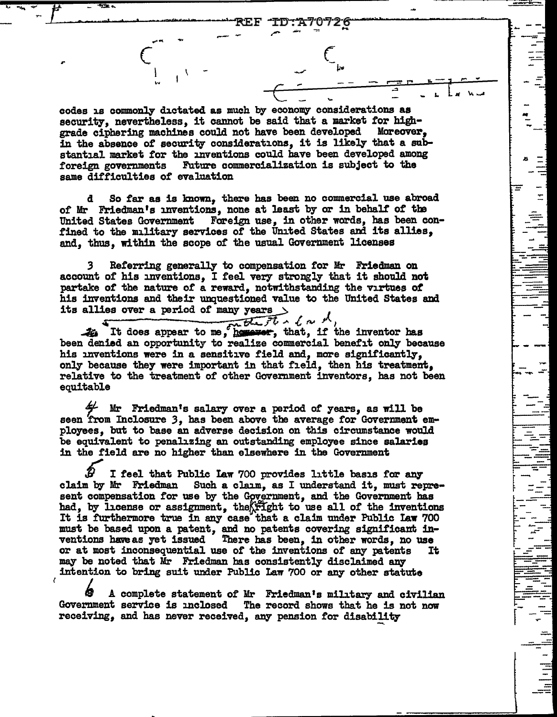$\equiv$ 

codes is commonly dictated as much by economy considerations as security, nevertheless, it cannot be said that a market for highgrade ciphering machines could not have been developed Moreover. in the absence of security considerations, it is likely that a substantial market for the inventions could have been developed among Future commercialization is subject to the foreign governments same difficulties of evaluation

So far as is known, there has been no commercial use abroad d of Mr Friedman's inventions, none at least by or in behalf of the United States Government Foreign use, in other words, has been confined to the mulitary services of the United States and its allies, and, thus, within the scope of the usual Government licenses

Referring generally to compensation for Mr Friedman on account of his inventions, I feel very strongly that it should not partake of the nature of a reward, notwithstanding the virtues of his inventions and their unquestioned value to the United States and

its allies over a period of many years )<br>  $\frac{1}{2}$  (  $\sim$   $\sqrt{ }$  )<br>  $\frac{1}{2}$  It does appear to me, however, that, if the inventor has been denied an opportunity to realize commercial benefit only because his inventions were in a sensitive field and, more significantly, only because they were important in that field, then his treatment. relative to the treatment of other Government inventors, has not been equitable

Mr Friedman's salary over a period of years, as will be seen from Inclosure 3, has been above the average for Government employees, but to base an adverse decision on this circumstance would be equivalent to penalizing an outstanding employee since salaries in the field are no higher than elsewhere in the Government

I feel that Public Law 700 provides little basis for any claim by Mr Friedman Such a claim, as I understand it, must represent compensation for use by the Government, and the Government has had, by license or assignment, the fright to use all of the inventions It is furthermore true in any case that a claim under Public Law 700 must be based upon a patent, and no patents covering significant inventions have as yet issued There has been, in other words, no use or at most inconsequential use of the inventions of any patents It may be noted that Mr Friedman has consistently disclaimed any intention to bring suit under Public Law 700 or any other statute

A complete statement of Mr Friedman's military and civilian Government service is inclosed The record shows that he is not now receiving, and has never received, any pension for disability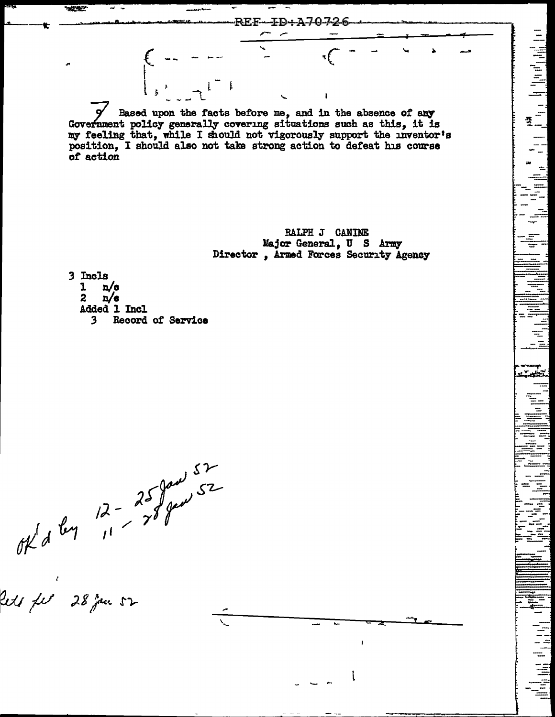Based upon the facts before me, and in the absence of any Government policy generally covering situations such as this, it is my feeling that, while I should not vigorously support the inventor's position, I should also not take strong action to defeat his course of action

REF-ID-A70726

**BALPH J CANINE** Major General, U S Army Director, Armed Forces Security Agency 此品 (1111)

3 Incls  $\mathbf{1}$  $n/e$ 

**REAL** 

 $n/e$  $\boldsymbol{z}$ Added 1 Incl

Record of Service  $\overline{\mathbf{3}}$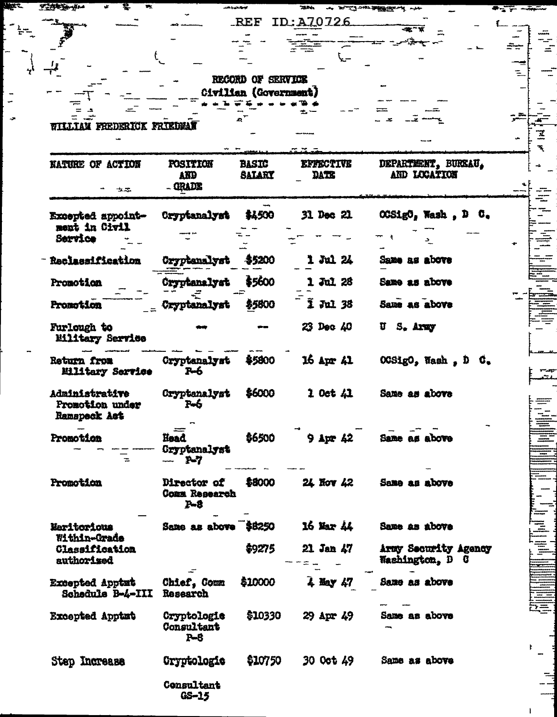|                                                   |                                                | RECORD OF SERVICE     |                       |                                         |  |
|---------------------------------------------------|------------------------------------------------|-----------------------|-----------------------|-----------------------------------------|--|
|                                                   |                                                | Civilian (Government) |                       |                                         |  |
|                                                   |                                                |                       |                       |                                         |  |
| WILLIAM FREDERICK FRIEDMAN                        |                                                |                       |                       |                                         |  |
|                                                   |                                                |                       |                       |                                         |  |
| NATURE OF ACTION                                  | POSITION                                       | <b>BASIC</b>          | <b>EFFECTIVE</b>      | DEPARTMENT, BUREAU,                     |  |
|                                                   | AND<br>- GRADE                                 | <b>SALARY</b>         | DATE                  | AND LOCATION                            |  |
| 士之                                                |                                                |                       |                       |                                         |  |
| Excepted appoint-                                 | Cryptanalyst                                   | \$4500                | 31 Dec 21             | OGSigO, Wash, D C.                      |  |
| ment in Civil<br>Service                          |                                                |                       |                       |                                         |  |
|                                                   |                                                |                       |                       |                                         |  |
| Reclassification                                  | Cryptanalyst                                   | \$5200                | 1 Jul 24              | Same as above                           |  |
| Promotion                                         | Cryptanalyst                                   | \$5600                | 1 Jul 26              | Same as above                           |  |
| Promotion                                         | Cryptanalyst                                   | \$5800                | $\overline{2}$ Jul 38 | Same as above                           |  |
| Furlough to                                       |                                                |                       | 23 Dec 40             | U S. Army                               |  |
| Military Service                                  |                                                |                       |                       |                                         |  |
| Return from<br>Military Service                   | Cryptanalyst<br>$P - 6$                        | \$5800                | 16 Apr 41             | OCSigO, Wash, D C.                      |  |
| Administrative<br>Promotion under<br>Ramspeck Act | Cryptanalyst<br>$P - 6$                        | \$6000                | $2$ Oct $42$          | Same as above                           |  |
| Promotion<br>$\equiv$                             | Head<br>Cryptanalyst<br>$P-7$                  | \$6500                | $9$ Apr $42$          | Same as above                           |  |
| Promotion                                         | Director of<br><b>Comm Research</b><br>$P - 8$ | \$8000                | 24. Nov 42            | Same as above                           |  |
| Maritorious<br>Within-Grade                       | Same as above \$8250                           |                       | 16 Mar 44             | Same as above                           |  |
| Classification<br>authorised                      |                                                | \$9275                | 21 Jan 47             | Army Security Agency<br>Washington, D C |  |
| <b>Excepted Apptut</b><br>Schedule B-4-III        | Chief, Comm<br>Research                        | \$10000               | $4$ May $47$          | Same as above                           |  |
| Excepted Apptut                                   | Cryptologie<br>Consultant<br>$P - 8$           | \$10330               | 29 Apr 49             | Same as above                           |  |
|                                                   |                                                |                       |                       |                                         |  |

 $\mathbf{l}$ 

**These** 

 $\ddot{\cdot}$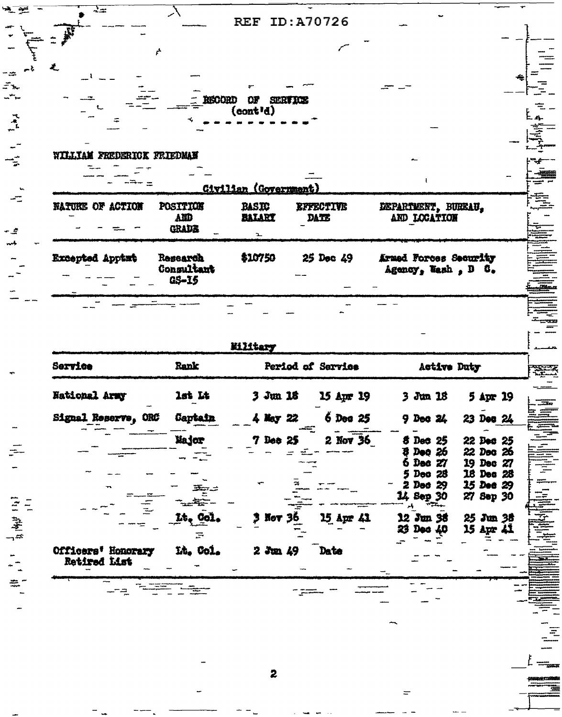| WILLIAM FREDERICK FRIEDMAN<br>Civilian (Government)<br>POSITION<br>NATURE OF ACTION<br><b>BASIC</b><br><b>EFFECTIVE</b><br>DEPARTMENT, BURKAU,<br>BALART<br>AMD<br>AND LOCATION<br>DATE<br><b>GRADE</b><br>$\mathbf{L}$<br>\$10750<br>25 Dec 49<br>Armed Forces Security<br>Excepted Apptnt<br>Research<br>Consultant<br>Agency, Wash, D C.<br>$G5 - 15$<br>Military<br>Service<br>Rank<br>Period of Service<br><b>Active Duty</b><br>National Army<br>$1st$ $It$<br>$3 \,$ Jun 16<br>15 Apr 19<br>$3$ Jun 18<br>$6$ Dec $25$<br>Signal Reserve, ORC<br>Captain<br>$9$ Dec $24$<br>4 May 22<br>Major<br>2 Nov 36<br>7 Dec 25<br><b>8 Dec 25</b><br>$3 - 26$<br>6 Dec 27<br>Dec 28<br>5<br>Dec $29$<br>2<br>14 Sep 30<br>12 Jun 38<br>Lt. Col.<br>15 Apr 41<br><b>Nov 36</b><br>23 Dec 40<br>IA. Col.<br>Date<br>Officers' Honorary<br>2300.49 | ۸.<br>Ł | <b>RECORD</b> | OF<br><b>SERVICE</b><br>(const'd) |  |  |
|-----------------------------------------------------------------------------------------------------------------------------------------------------------------------------------------------------------------------------------------------------------------------------------------------------------------------------------------------------------------------------------------------------------------------------------------------------------------------------------------------------------------------------------------------------------------------------------------------------------------------------------------------------------------------------------------------------------------------------------------------------------------------------------------------------------------------------------------------|---------|---------------|-----------------------------------|--|--|
|                                                                                                                                                                                                                                                                                                                                                                                                                                                                                                                                                                                                                                                                                                                                                                                                                                               |         |               |                                   |  |  |
|                                                                                                                                                                                                                                                                                                                                                                                                                                                                                                                                                                                                                                                                                                                                                                                                                                               |         |               |                                   |  |  |
| 5 Apr 19<br>23 Dec 24<br>22 Dec 25<br>22 Dec 26<br>19 Dec 27<br>18 Dec 28<br>15 Dec 29<br>27 Sep 30<br>25 Jun 38<br>15 Apr 41                                                                                                                                                                                                                                                                                                                                                                                                                                                                                                                                                                                                                                                                                                                 |         |               |                                   |  |  |
|                                                                                                                                                                                                                                                                                                                                                                                                                                                                                                                                                                                                                                                                                                                                                                                                                                               |         |               |                                   |  |  |
|                                                                                                                                                                                                                                                                                                                                                                                                                                                                                                                                                                                                                                                                                                                                                                                                                                               |         |               |                                   |  |  |
| Retired List                                                                                                                                                                                                                                                                                                                                                                                                                                                                                                                                                                                                                                                                                                                                                                                                                                  |         |               |                                   |  |  |

2

 $\equiv$ 

ë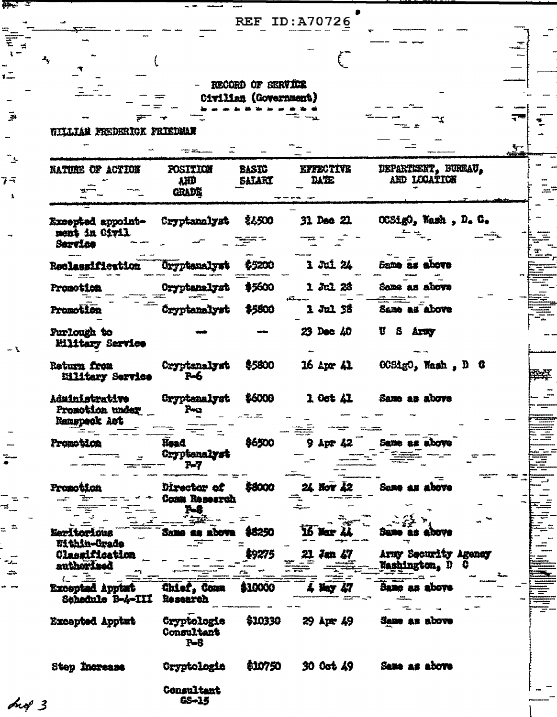|                                    |                     |                       | <b>REF ID:A70726</b>       |                      |
|------------------------------------|---------------------|-----------------------|----------------------------|----------------------|
|                                    |                     |                       |                            |                      |
|                                    |                     |                       |                            |                      |
| ۸,                                 |                     |                       |                            |                      |
|                                    |                     |                       |                            |                      |
|                                    |                     | RECORD OF SERVICE     |                            |                      |
|                                    |                     |                       |                            |                      |
|                                    |                     | Civilian (Government) |                            |                      |
|                                    |                     |                       |                            |                      |
| WILLIAM FREDERICK FRIEDMAN         |                     |                       |                            |                      |
|                                    |                     |                       |                            |                      |
|                                    |                     |                       |                            |                      |
| NATURE OF ACTION                   | POSITION            | BASIC                 | <b>KFFSCTIVK</b>           | DEPARTEERT, BUREAU,  |
|                                    | AND                 | SALART                | DATE                       | AND LOCATION         |
|                                    | <b>GRADE</b>        |                       |                            |                      |
|                                    |                     |                       |                            |                      |
|                                    | Cryptanolyst        | <b>\$4500</b>         | 31 Dec 21                  | OCSigO, Wash, D. C.  |
| Exsepted appoint-<br>ment in Oivil |                     |                       |                            |                      |
| Sarvice                            |                     |                       |                            |                      |
|                                    |                     |                       |                            |                      |
| Reclassification                   | <b>Gryptenalyst</b> | \$5200                | 1 Jul 24                   | Bame as above        |
|                                    |                     |                       |                            |                      |
| Promotica                          | Oryptanalyst        | \$5600                | 1 加 28                     | Same as above        |
|                                    |                     |                       |                            |                      |
| Promotion                          | Cryptanalyst        | \$5800                | 1 Jul 35                   | Same as above        |
| <b>Furlough to</b>                 |                     |                       | 23 Dec 40                  | Ħ<br>S Army          |
| Eilitary Service                   |                     |                       |                            |                      |
|                                    |                     |                       |                            |                      |
| Return from                        | Cryptanalyst        | \$5800                | $16$ Apr $41$              | OCSigO, Wash, D C    |
| Eilitary Service                   | $P-6$               |                       |                            |                      |
|                                    |                     |                       |                            |                      |
| Administrative                     | Cryptanalyst        | \$6000                | $100t$ $\lambda$ $\lambda$ | Same as above        |
| Promotion under                    |                     |                       |                            |                      |
| Ranspeck Act                       |                     |                       |                            |                      |
| Promotion                          | Head                | \$6500                | $9$ Apr $42$               | Same as above        |
|                                    | Cryptenslyst        |                       |                            |                      |
|                                    | $P-7$               |                       |                            |                      |
|                                    |                     |                       |                            |                      |
| Promotion                          | Director of         | \$8000                | 24 Nov 42                  | Same as above        |
|                                    | Comm Research       |                       |                            |                      |
|                                    | 7-8<br>÷ŵ           |                       |                            |                      |
|                                    |                     |                       |                            |                      |
| Eeritorious<br>Within-Grade        | Same as above       | \$8250                | 16 Mar 44                  | 50 L<br>above        |
| Classification                     |                     | \$9275                | 21<br>Jan 47               | Army Security Agency |
| <i>suthorized</i>                  |                     |                       |                            | <b>Washington, D</b> |
|                                    |                     |                       |                            |                      |
| <b>Excepted Apptat</b>             | Chief, Comm         | \$10000               | ፋ Nay 47                   | Same as above        |
| Schedule B-4-III                   | Research            |                       |                            |                      |
|                                    |                     |                       |                            |                      |
| Excepted Applat                    | Cryptologie         | \$10330               | 29 Apr 49                  | Same as above        |
|                                    | Consultant          |                       |                            |                      |
|                                    | $P - 8$             |                       |                            |                      |
|                                    |                     | \$10750               | 30 Oct 49                  | Same as above        |
| Step Increase                      | Cryptologie         |                       |                            |                      |
|                                    |                     |                       |                            |                      |
|                                    | Consultant          |                       |                            |                      |

GS-15

ong 3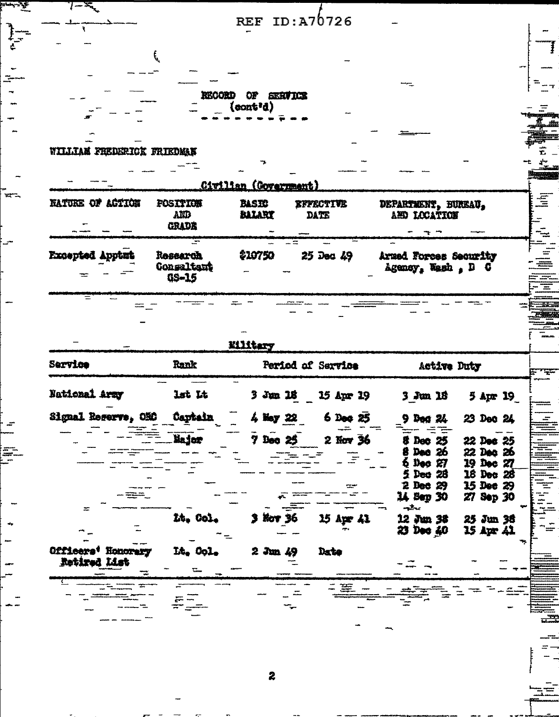REF ID:  $A76726$ 

RECORD OF SERVICE

## WILLIAM FREDERICK FRIEDMAN

 $\overline{\mathcal{L}}$ 

 $7 - x$ 

⊽

w

E

|                                                     |                                        | Civilian (Covernment)  |                          |                                             |
|-----------------------------------------------------|----------------------------------------|------------------------|--------------------------|---------------------------------------------|
| <b>NATURE OF ACTION</b><br>$\overline{\phantom{a}}$ | <b>FOSITION</b><br>AMB<br><b>CRADE</b> | <b>BASES</b><br>BALART | <b>EFFECTIVE</b><br>DATE | DEPARTMENT, BUREAU.<br><b>IED LOCATION</b>  |
| <b>Excepted Apptut</b>                              | Research<br>Consaltant<br>GS-15        | \$10750                | $25$ Dec $49$            | Armed Forces Security<br>Agency, Wash , D C |

i<br>I<br>I<br>I

33

Ŧ

 $\frac{1}{\sqrt{2}}$ 

Kilitary

| Service                         | Rank                 | Period of Service             | Active Duty                                                                                                                                                            |
|---------------------------------|----------------------|-------------------------------|------------------------------------------------------------------------------------------------------------------------------------------------------------------------|
| National Army                   | lst Lt               | $3 \,$ Jun 18<br>15 Apr 19    | $3 \,$ Jun $18$<br>5 Apr 19                                                                                                                                            |
| Signal Reserve, OMO             | Captain              | 4 Ney 22<br>$6$ Dec $25$      | 23 Dec 24<br>$9$ Deg $24$                                                                                                                                              |
|                                 | Major                | 7 Dec 25<br>2 Nov 36          | <b>&amp; Dec 25</b><br>22 Dec 25<br>22 Dec 26<br>8 Dec 26<br>$6$ Dec $27$<br>19 Dec 27<br>5 Dec 28<br>18 Dec 28<br>$2$ Dec $29$<br>15 Dec 29<br>14 Sep 30<br>27 Sep 30 |
| $\approx$<br>Officers' Honorary | Lt. Col.<br>Lt. Col. | 3 Nov 36<br>15 Apr 41<br>Date | معطوم<br>12 Jun 38<br>25 Jun 38<br>23 Dec 40<br>15 Apr 41                                                                                                              |
| Retired List                    |                      | $2 \,$ Jun $49$               |                                                                                                                                                                        |

 $=$   $\Xi$ 

 $\ddot{\mathbf{z}}$ 

 $E_{\rightarrow}$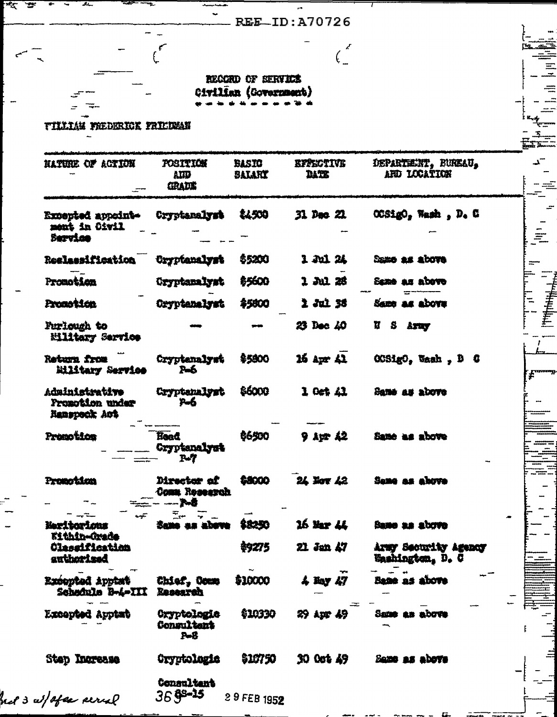REE\_ID:A70726

 $\left(\frac{z}{z}\right)$ 

REGGRO OF SERVICE Civilian (Government)

**TILLIAM FREDERICK FRIEDMAN** 

 $\epsilon$ 

.<br>स्टब्स्

| NATURE OF ACTION                                                  | <b>POSITION</b><br>AIID<br><b>GRADE</b>  | BASIO<br><b>BALARY</b> | <b>EFFECTIVE</b><br>DATE        | DEPARTMENT, BUREAU,<br>ARD LOCATION      |
|-------------------------------------------------------------------|------------------------------------------|------------------------|---------------------------------|------------------------------------------|
| Excepted appoint-<br>ment in Oivil<br>Service                     | Cryptamalyst                             | <b>LL500</b>           | 31. Dec 21.                     | OCSigO, Wash, D. C                       |
| Reslassification                                                  | Cryptanalyst                             | \$5200                 | 1 Jul 24                        | Samo as above                            |
| Promotion                                                         | Cryptanalyst                             | \$5600                 | 1 Jul 28                        | Same as above                            |
| Promotion                                                         | Oryptanalyst                             | <b>\$5800</b>          | 1 Jul 35                        | Same as above                            |
| Furlough to<br>Eilitary Service                                   |                                          |                        | 23 Dec 40                       | <b>S</b> Army<br>Ħ.                      |
| Return from<br>Military Service                                   | Cryptenalyst<br>Σъб.                     | \$5800                 | $16$ Apr $41$                   | <b>OCSigO</b> , Wash, D C                |
| Administrative<br><b>Promotion under</b><br>Ranspeck Act          | Cryptanalyst<br>$P - 6$                  | \$6000                 | 1 Oct 41                        | Same as above                            |
| Promotion                                                         | <b>Hoad</b><br>Cryptanalyst<br><u>ሥፖ</u> | \$6500                 | 9 紅雪 42                         | Same as above                            |
| Promotism                                                         | Director of<br>Comm Roseszch<br>r.s      | 88000                  | 24 Nov 42                       | Same as above                            |
| Neritoricas                                                       | Same as above                            | \$8250                 | 16 Mar 44                       | Same as above                            |
| <b>Kithin-Orade</b><br><b>Classification</b><br><b>authorized</b> |                                          | \$9275                 | 21 Jan 47                       | Army Security Agency<br>Washington, D. G |
| Excepted Apptat<br>Schodule B-4-III                               | Chief, Comp<br>Recessed                  | \$10000                | $\frac{1}{2}$ Hay $\frac{1}{2}$ | Bane as above                            |
| <b>Excepted Apptat</b>                                            | Cryptologie<br>Consultant<br>$P-8$       | <b>\$10330</b>         | 29 Apr 49                       | Same as above                            |
| Step Increase                                                     | Cryptologis                              | \$19750                | 30 0ot 49                       | Same as above                            |
| nel 3 al/afea percal                                              | Consultant<br>$369 - 15$                 | 29 FEB 1952            |                                 |                                          |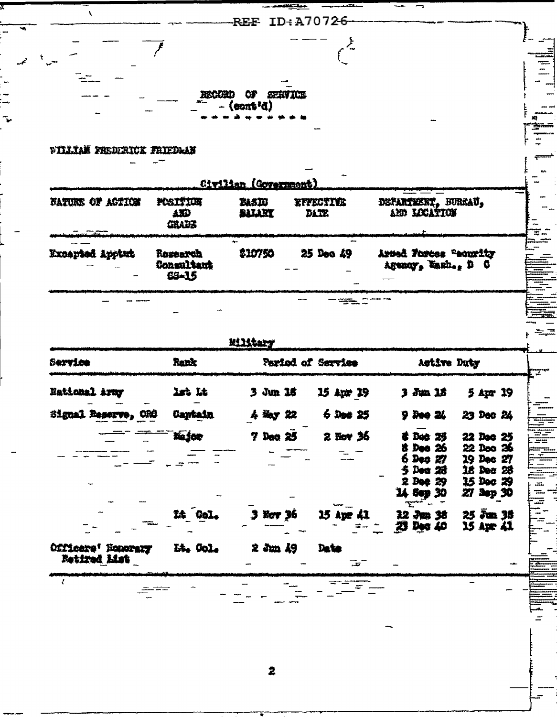|                                                    |                          | RECORD OF SERVICE<br>$-$ (cont'd) |                          |                                  |                                   |
|----------------------------------------------------|--------------------------|-----------------------------------|--------------------------|----------------------------------|-----------------------------------|
| <b>WILLIAM FREDERICK FRIEDRAN</b>                  |                          |                                   |                          |                                  |                                   |
|                                                    |                          | Civilian (Government)             |                          |                                  |                                   |
| <b>FATURE OF ACTION</b>                            | POSITION<br>ABD<br>CHADE | BASIG<br>BALARY                   | KYFECTIES<br><b>DATE</b> | DEFARTMENT, BURKAU, AND LOCATION |                                   |
| Excepted Appture                                   | Research                 | \$10750                           | 25 Dec 49                | Arsed Toress "courity            |                                   |
|                                                    | Consultant<br>65-15      | Military                          |                          | Agency, Tanh., D C               |                                   |
|                                                    | Rank                     |                                   | Period of Service        | Active Duty                      |                                   |
|                                                    | lst Lt                   | $3$ Jun 16                        | 15 Apr 19                | $3 \dim 12$                      | 5 Apr 19                          |
| ORĜ                                                | <b>Captain</b>           | i inv 22                          | $6$ Dec $25$             | <b>D</b> Bee 24                  | 22 Den 24                         |
|                                                    | Major                    | $7$ Dec $25$                      | 2 Nov 36                 | Det 25                           | 22 Dec 25                         |
|                                                    |                          |                                   |                          | 8 Dec 26<br>$6$ Dec $27$         | 22 Dec 26<br>19 Dec 27            |
|                                                    |                          |                                   |                          | 5 Des 28<br>$2$ Dee $29$         | 18 Dec 28<br>15 Doc 29            |
|                                                    |                          |                                   |                          | 14 Sep 30<br>سيستع               | 27 Sep 30                         |
| Service<br><b>Hational Army</b><br>Signal Reserva. | IA Gol.                  | $3$ Ker $36$                      | 15 Apr 41                | 12 Jun 38<br>23 Dec 40           | $25 \bar{z}$ un $35$<br>15 apr 41 |
| Officere' Honorary<br>Betired List                 | Lt. Col.                 | $2 \dim 49$                       | Date<br>سمسته            |                                  |                                   |

ÿ

 $\frac{1}{1}$ 

 $\ddot{\phantom{0}}$ 

2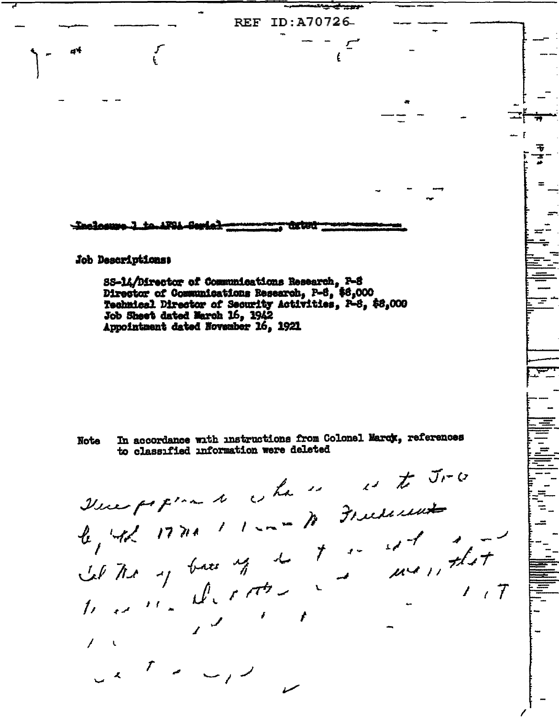REF ID:A70726-Inclosure 1 to 1FSL Se Job Descriptions: 88-14/Director of Communications Research, P-S Director of Communications Research, P-8, \$6,000 Technical Director of Security Activities, P-8, \$8,000 Job Sheet dated March 16, 1942<br>Appointment dated November 16, 1921 In accordance with instructions from Colonel Marcy, references **Note** to classified information were deleted The property of the season of the True le, 42 17710 11-10 78 Fricheren Let the your of the town that  $1/7$  $\mathcal{L}^{\mathcal{A}}$  $\mathcal{F}^{\pm}$  $u \leftarrow \frac{1}{2}$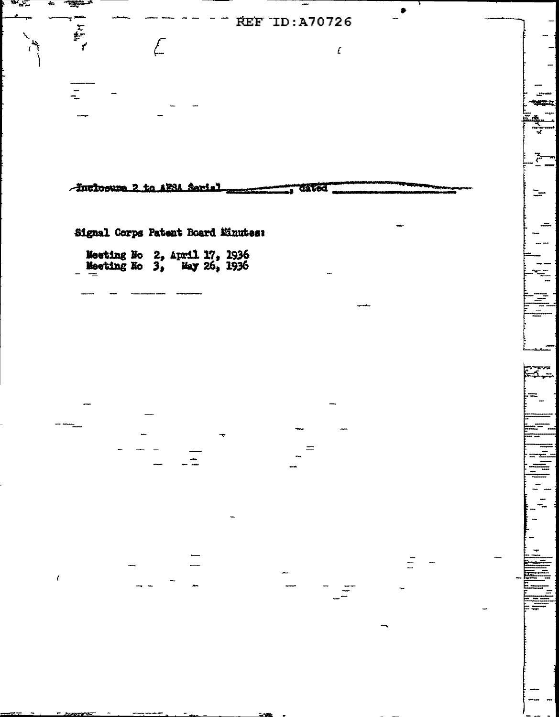**REF ID: A70726**  $\mathbf{r}$  $\sqrt{\frac{1}{2}}$  $\pmb{\mathcal{L}}$ **Lift in** -Englosume 2 to AFSA Sarial dated  $\equiv$ Signal Corps Patent Board Minutes: Meeting No 2, April 17, 1936<br>Meeting No 3, May 26, 1936  $\epsilon$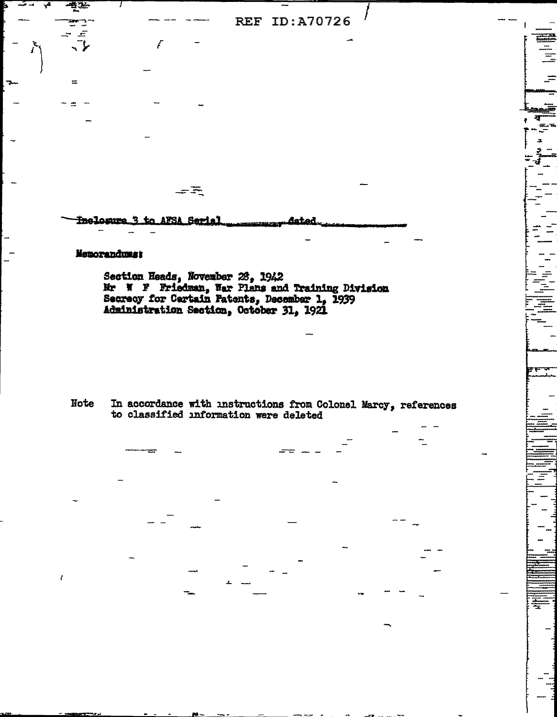**REF ID: A70726** 

Inclosure 3 to AFSA Serial latad

一天

## Memorandums:

 $\equiv$ 

Section Heads, November 25, 1942<br>Mr N F Friedman, War Plans and Training Division<br>Secrecy for Certain Patents, December 1, 1939<br>Administration Section, October 31, 1921

Note In accordance with instructions from Colonel Marcy, references to classified information were deleted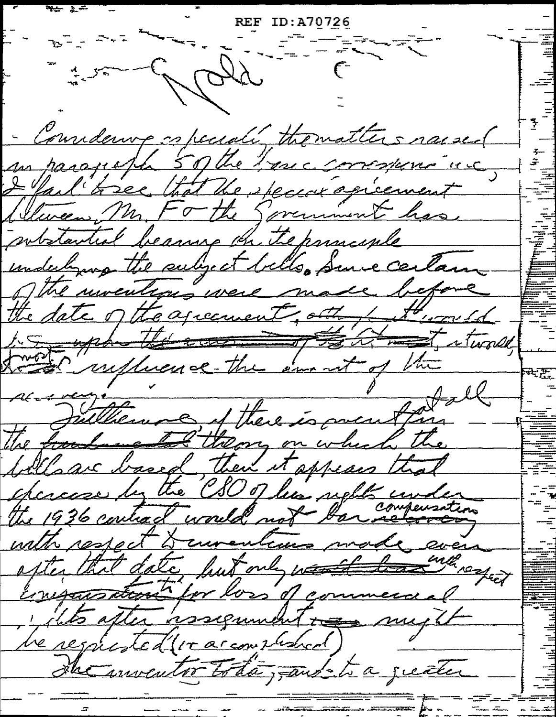$\frac{1}{2}$   $\frac{1}{2}$   $\frac{1}{2}$   $\frac{1}{2}$   $\frac{1}{2}$   $\frac{1}{2}$   $\frac{1}{2}$   $\frac{1}{2}$   $\frac{1}{2}$   $\frac{1}{2}$   $\frac{1}{2}$   $\frac{1}{2}$   $\frac{1}{2}$   $\frac{1}{2}$   $\frac{1}{2}$   $\frac{1}{2}$   $\frac{1}{2}$   $\frac{1}{2}$   $\frac{1}{2}$   $\frac{1}{2}$   $\frac{1}{2}$   $\frac{1}{2}$  France Carter - Conridenne especiali thomaticis naise.( I fail tree that the special agreement Detween, Mr. Forthe Spremment has potstantial because the the paraceple undulying the subject bills, Suice certain the date of the agreement, other through to up the the am at of the world Alexange 2 Hall the foodment there is presting fills are based, then it oppears that chances by the CSO of his uple unde the 1936 contract would not bar sompensation with respect & currentiums made even exter that date, but only weather with respect consecutation for loss of commenced be respected (ir arcour suched) the inventor toda, and to a greater